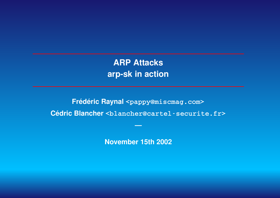**ARP Attacks arp-sk in action**

**Frédéric Raynal** <pappy@miscmag.com> **Cédric Blancher <blancher@cartel-securite.fr>**

**—**

**November 15th 2002**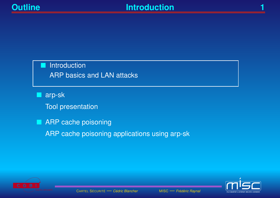# Introduction **ARP basics and LAN attacks**

arp-sk

**Tool presentation** 

ARP cache poisoning

ARP cache poisoning applications using arp-sk



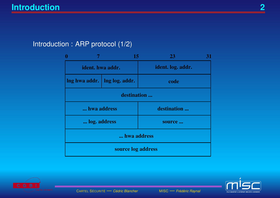# Introduction : ARP protocol (1/2)

| $\mathbf{\Omega}$              | 15 | 23                | 31 |
|--------------------------------|----|-------------------|----|
| ident. hwa addr.               |    | ident. log. addr. |    |
| Ing hwa addr.   Ing log. addr. |    | code              |    |
| destination                    |    |                   |    |
| hwa address                    |    | destination       |    |
| log. address                   |    | source            |    |
| hwa address                    |    |                   |    |
| source log address             |    |                   |    |



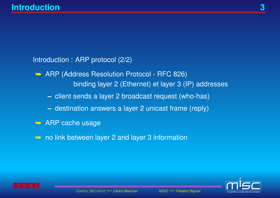Introduction: ARP protocol (2/2)

- ARP (Address Resolution Protocol RFC 826) binding layer 2 (Ethernet) et layer 3 (IP) addresses
	- client sends a layer 2 broadcast request (who-has)
	- destination answers a layer 2 unicast frame (reply)
- $\rightarrow$  ARP cache usage
- $\rightarrow$  no link between layer 2 and layer 3 information



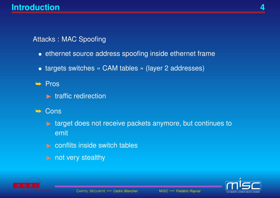# **Attacks: MAC Spoofing**

- ethernet source address spoofing inside ethernet frame
- targets switches « CAM tables » (layer 2 addresses)
- $\rightarrow$  Pros
	- $\blacktriangleright$  traffic redirection
- $\rightarrow$  Cons
	- ighthroughout star terms in the target does not receive packets anymore, but continues to emit
	- $\blacktriangleright$  conflits inside switch tables
	- not very stealthy



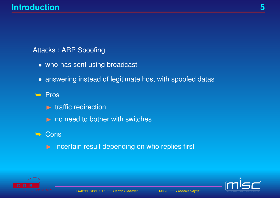# **Attacks: ARP Spoofing**

- who-has sent using broadcast
- answering instead of legitimate host with spoofed datas

#### $\rightarrow$  Pros

- $\blacktriangleright$  traffic redirection
- $\blacktriangleright$  no need to bother with switches

### $\rightarrow$  Cons

Incertain result depending on who replies first



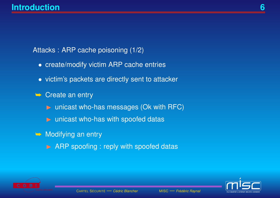# Attacks : ARP cache poisoning (1/2)

- create/modify victim ARP cache entries
- victim's packets are directly sent to attacker
- $\rightarrow$  Create an entry
	- **D** unicast who-has messages (Ok with RFC)
	- **D** unicast who-has with spoofed datas
- $\rightarrow$  Modifying an entry
	- **ARP** spoofing : reply with spoofed datas



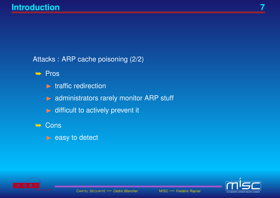Attacks : ARP cache poisoning (2/2)

#### ➥ Pros

- **The traffic redirection**
- **A administrators rarely monitor ARP stuff**
- **D** difficult to actively prevent it
- ➥ Cons
	- $\blacktriangleright$  easy to detect



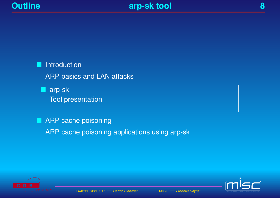#### Introduction

**ARP basics and LAN attacks** 

arp-sk

**Tool presentation** 

#### ARP cache poisoning П

ARP cache poisoning applications using arp-sk



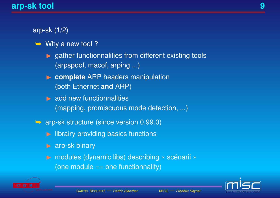# arp-sk (1/2)

- ➥ Why a new tool ?
	- $\triangleright$  gather functionnalities from different existing tools (arpspoof, macof, arping ...)
	- **complete** ARP headers manipulation (both Ethernet **and** ARP)
	- $\triangleright$  add new functionnalities (mapping, promiscuous mode detection, ...)
- $\rightarrow$  **arp-sk structure (since version 0.99.0)** 
	- **IDED** librairy providing basics functions
	- **A** arp-sk binary
	- ► modules (dynamic libs) describing « scénarii » (one module  $==$  one functionnality)

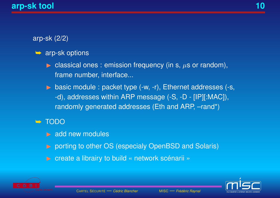arp-sk (2/2)

#### $\rightarrow$  arp-sk options

 $\blacktriangleright$  classical ones : emission frequency (in s,  $\mu$ s or random), frame number, interface...

**D** basic module : packet type (-w, -r), Ethernet addresses (-s, -d), addresses within ARP message (-S, -D - [IP][:MAC]), randomly generated addresses (Eth and ARP, –rand\*)

#### ➥ TODO

- add new modules
- **P** porting to other OS (especialy OpenBSD and Solaris)
- **Example 2 Figure 1** or extending to build « network scénarii »



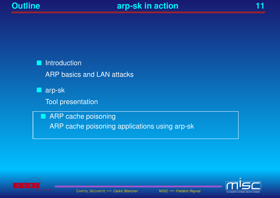#### Introduction П

**ARP basics and LAN attacks** 

arp-sk

**Tool presentation** 

ARP cache poisoning ARP cache poisoning applications using arp-sk



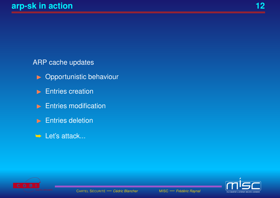# ARP cache updates

- Opportunistic behaviour
- **Entries creation**  $\blacktriangleright$
- **Entries modification**  $\blacktriangleright$
- **Entries deletion**  $\blacktriangleright$
- Let's attack...

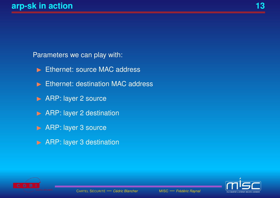Parameters we can play with:

- Ethernet: source MAC address  $\blacktriangleright$
- **Ethernet: destination MAC address**  $\blacktriangleright$
- ARP: layer 2 source
- ARP: layer 2 destination
- ARP: layer 3 source
- ARP: layer 3 destination



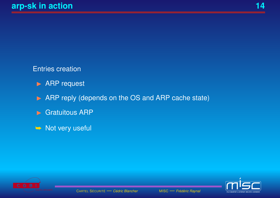# **Entries creation**

- $\triangleright$  ARP request
- ARP reply (depends on the OS and ARP cache state)  $\blacktriangleright$
- **Gratuitous ARP**  $\begin{array}{c} \hline \end{array}$
- $\rightarrow$  Not very useful



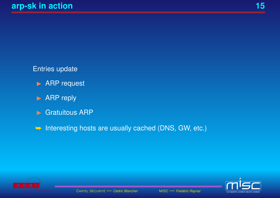# **Entries update**

- $\triangleright$  ARP request
- $\triangleright$  ARP reply
- **Gratuitous ARP**  $\qquad \qquad \blacktriangleright$
- $\Rightarrow$  Interesting hosts are usually cached (DNS, GW, etc.)



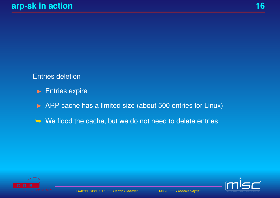# **Entries deletion**

- **Entries expire**  $\blacktriangleright$
- ARP cache has a limited size (about 500 entries for Linux)  $\blacktriangleright$
- $\rightarrow$  We flood the cache, but we do not need to delete entries



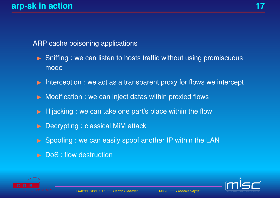# ARP cache poisoning applications

- ▶ Sniffing : we can listen to hosts traffic without using promiscuous mode
- $\blacktriangleright$  Interception : we act as a transparent proxy for flows we intercept
- **D** Modification : we can inject datas within proxied flows
- $\blacktriangleright$  Hijacking : we can take one part's place within the flow
- **Decrypting : classical MiM attack**
- **Spoofing : we can easily spoof another IP within the LAN**
- DoS : flow destruction





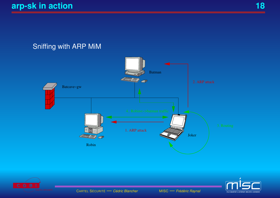# Sniffing with ARP MiM







**CARTEL SÉCURITÉ** - Cédric Blancher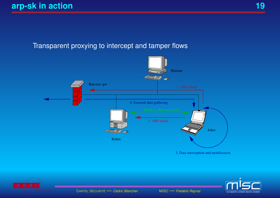### Transparent proxying to intercept and tamper flows





**CARTEL SÉCURITÉ** - Cédric Blancher

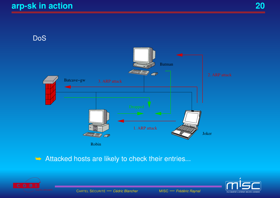**DoS** 



#### Attacked hosts are likely to check their entries...





MISC - Frédéric Raynal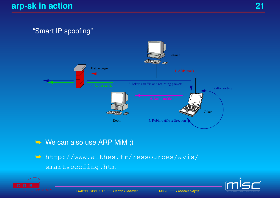#### "Smart IP spoofing"



- $\rightarrow$  We can also use ARP MiM ;)
- http://www.althes.fr/ressources/avis/ smartspoofing.htm



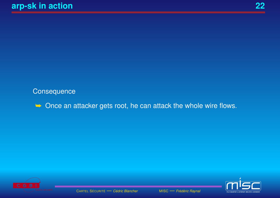Consequence

 $\rightarrow$  Once an attacker gets root, he can attack the whole wire flows.



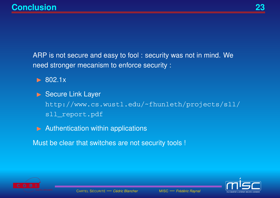ARP is not secure and easy to fool: security was not in mind. We need stronger mecanism to enforce security :

 $\triangleright$  802.1x

- Secure Link Layer http://www.cs.wustl.edu/~fhunleth/projects/sll/ sll\_report.pdf
- $\blacktriangleright$  Authentication within applications

Must be clear that switches are not security tools !



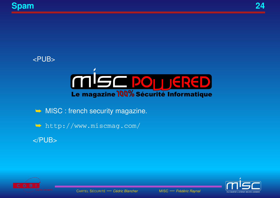

 $\rightarrow$  MISC : french security magazine.

http://www.miscmag.com/

 $<$ /PUB>